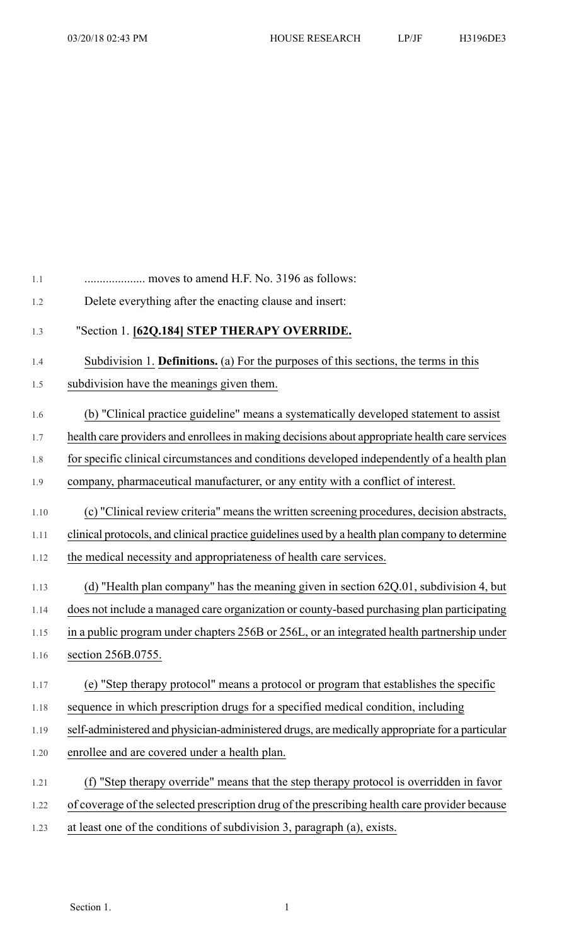| Delete everything after the enacting clause and insert:                                         |
|-------------------------------------------------------------------------------------------------|
| "Section 1. [62Q.184] STEP THERAPY OVERRIDE.                                                    |
| Subdivision 1. <b>Definitions.</b> (a) For the purposes of this sections, the terms in this     |
| subdivision have the meanings given them.                                                       |
| (b) "Clinical practice guideline" means a systematically developed statement to assist          |
| health care providers and enrollees in making decisions about appropriate health care services  |
| for specific clinical circumstances and conditions developed independently of a health plan     |
| company, pharmaceutical manufacturer, or any entity with a conflict of interest.                |
| (c) "Clinical review criteria" means the written screening procedures, decision abstracts,      |
| clinical protocols, and clinical practice guidelines used by a health plan company to determine |
| the medical necessity and appropriateness of health care services.                              |
| (d) "Health plan company" has the meaning given in section 62Q.01, subdivision 4, but           |
| does not include a managed care organization or county-based purchasing plan participating      |
| in a public program under chapters 256B or 256L, or an integrated health partnership under      |
| section 256B.0755.                                                                              |
| (e) "Step therapy protocol" means a protocol or program that establishes the specific           |
| sequence in which prescription drugs for a specified medical condition, including               |
| self-administered and physician-administered drugs, are medically appropriate for a particular  |
| enrollee and are covered under a health plan.                                                   |
| (f) "Step therapy override" means that the step therapy protocol is overridden in favor         |
| of coverage of the selected prescription drug of the prescribing health care provider because   |
| at least one of the conditions of subdivision 3, paragraph (a), exists.                         |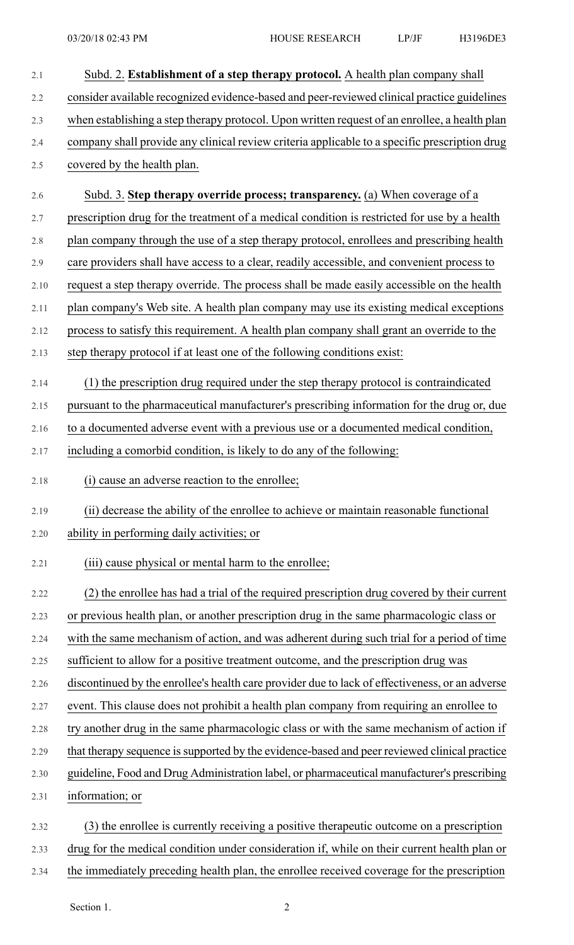| 2.1  | Subd. 2. Establishment of a step therapy protocol. A health plan company shall                  |
|------|-------------------------------------------------------------------------------------------------|
| 2.2  | consider available recognized evidence-based and peer-reviewed clinical practice guidelines     |
| 2.3  | when establishing a step therapy protocol. Upon written request of an enrollee, a health plan   |
| 2.4  | company shall provide any clinical review criteria applicable to a specific prescription drug   |
| 2.5  | covered by the health plan.                                                                     |
| 2.6  | Subd. 3. Step therapy override process; transparency. (a) When coverage of a                    |
| 2.7  | prescription drug for the treatment of a medical condition is restricted for use by a health    |
| 2.8  | plan company through the use of a step therapy protocol, enrollees and prescribing health       |
| 2.9  | care providers shall have access to a clear, readily accessible, and convenient process to      |
| 2.10 | request a step therapy override. The process shall be made easily accessible on the health      |
| 2.11 | plan company's Web site. A health plan company may use its existing medical exceptions          |
| 2.12 | process to satisfy this requirement. A health plan company shall grant an override to the       |
| 2.13 | step therapy protocol if at least one of the following conditions exist:                        |
| 2.14 | (1) the prescription drug required under the step therapy protocol is contraindicated           |
| 2.15 | pursuant to the pharmaceutical manufacturer's prescribing information for the drug or, due      |
| 2.16 | to a documented adverse event with a previous use or a documented medical condition,            |
| 2.17 | including a comorbid condition, is likely to do any of the following:                           |
| 2.18 | (i) cause an adverse reaction to the enrollee;                                                  |
| 2.19 | (ii) decrease the ability of the enrollee to achieve or maintain reasonable functional          |
| 2.20 | ability in performing daily activities; or                                                      |
| 2.21 | (iii) cause physical or mental harm to the enrollee;                                            |
| 2.22 | (2) the enrollee has had a trial of the required prescription drug covered by their current     |
| 2.23 | or previous health plan, or another prescription drug in the same pharmacologic class or        |
| 2.24 | with the same mechanism of action, and was adherent during such trial for a period of time      |
| 2.25 | sufficient to allow for a positive treatment outcome, and the prescription drug was             |
| 2.26 | discontinued by the enrollee's health care provider due to lack of effectiveness, or an adverse |
| 2.27 | event. This clause does not prohibit a health plan company from requiring an enrollee to        |
| 2.28 | try another drug in the same pharmacologic class or with the same mechanism of action if        |
| 2.29 | that therapy sequence is supported by the evidence-based and peer reviewed clinical practice    |
| 2.30 | guideline, Food and Drug Administration label, or pharmaceutical manufacturer's prescribing     |
| 2.31 | information; or                                                                                 |
| 2.32 | (3) the enrollee is currently receiving a positive therapeutic outcome on a prescription        |
| 2.33 | drug for the medical condition under consideration if, while on their current health plan or    |
| 2.34 | the immediately preceding health plan, the enrollee received coverage for the prescription      |

Section 1. 2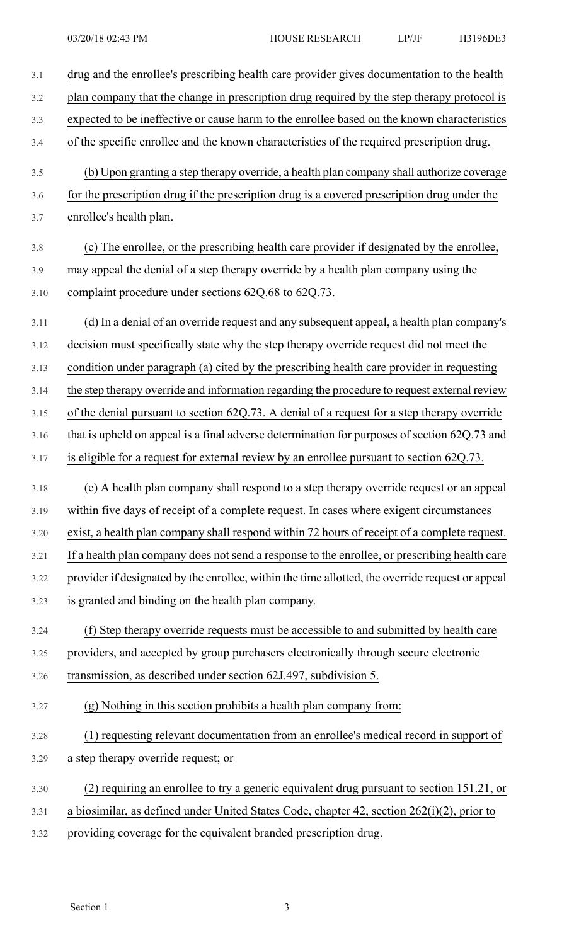| 3.1  | drug and the enrollee's prescribing health care provider gives documentation to the health       |
|------|--------------------------------------------------------------------------------------------------|
| 3.2  | plan company that the change in prescription drug required by the step therapy protocol is       |
| 3.3  | expected to be ineffective or cause harm to the enrollee based on the known characteristics      |
| 3.4  | of the specific enrollee and the known characteristics of the required prescription drug.        |
| 3.5  | (b) Upon granting a step therapy override, a health plan company shall authorize coverage        |
| 3.6  | for the prescription drug if the prescription drug is a covered prescription drug under the      |
| 3.7  | enrollee's health plan.                                                                          |
| 3.8  | (c) The enrollee, or the prescribing health care provider if designated by the enrollee,         |
| 3.9  | may appeal the denial of a step therapy override by a health plan company using the              |
| 3.10 | complaint procedure under sections 62Q.68 to 62Q.73.                                             |
| 3.11 | (d) In a denial of an override request and any subsequent appeal, a health plan company's        |
| 3.12 | decision must specifically state why the step therapy override request did not meet the          |
| 3.13 | condition under paragraph (a) cited by the prescribing health care provider in requesting        |
| 3.14 | the step therapy override and information regarding the procedure to request external review     |
| 3.15 | of the denial pursuant to section 62Q.73. A denial of a request for a step therapy override      |
| 3.16 | that is upheld on appeal is a final adverse determination for purposes of section 62Q.73 and     |
| 3.17 | is eligible for a request for external review by an enrollee pursuant to section 62Q.73.         |
| 3.18 | (e) A health plan company shall respond to a step therapy override request or an appeal          |
| 3.19 | within five days of receipt of a complete request. In cases where exigent circumstances          |
| 3.20 | exist, a health plan company shall respond within 72 hours of receipt of a complete request.     |
| 3.21 | If a health plan company does not send a response to the enrollee, or prescribing health care    |
| 3.22 | provider if designated by the enrollee, within the time allotted, the override request or appeal |
| 3.23 | is granted and binding on the health plan company.                                               |
| 3.24 | (f) Step therapy override requests must be accessible to and submitted by health care            |
| 3.25 | providers, and accepted by group purchasers electronically through secure electronic             |
| 3.26 | transmission, as described under section 62J.497, subdivision 5.                                 |
| 3.27 | (g) Nothing in this section prohibits a health plan company from:                                |
| 3.28 | (1) requesting relevant documentation from an enrollee's medical record in support of            |
| 3.29 | a step therapy override request; or                                                              |
| 3.30 | (2) requiring an enrollee to try a generic equivalent drug pursuant to section 151.21, or        |
| 3.31 | a biosimilar, as defined under United States Code, chapter 42, section $262(i)(2)$ , prior to    |
| 3.32 | providing coverage for the equivalent branded prescription drug.                                 |